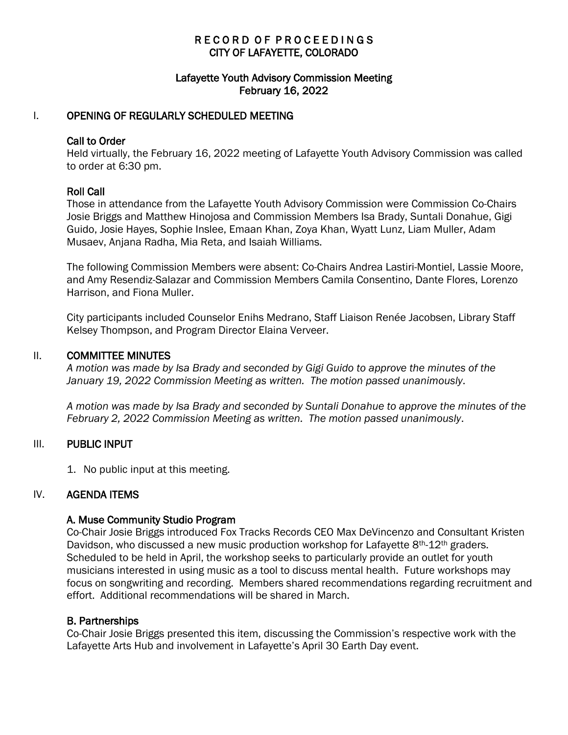# RECORD OF PROCEEDINGS CITY OF LAFAYETTE, COLORADO

## Lafayette Youth Advisory Commission Meeting February 16, 2022

## I. OPENING OF REGULARLY SCHEDULED MEETING

#### Call to Order

Held virtually, the February 16, 2022 meeting of Lafayette Youth Advisory Commission was called to order at 6:30 pm.

### Roll Call

Those in attendance from the Lafayette Youth Advisory Commission were Commission Co-Chairs Josie Briggs and Matthew Hinojosa and Commission Members Isa Brady, Suntali Donahue, Gigi Guido, Josie Hayes, Sophie Inslee, Emaan Khan, Zoya Khan, Wyatt Lunz, Liam Muller, Adam Musaev, Anjana Radha, Mia Reta, and Isaiah Williams.

The following Commission Members were absent: Co-Chairs Andrea Lastiri-Montiel, Lassie Moore, and Amy Resendiz-Salazar and Commission Members Camila Consentino, Dante Flores, Lorenzo Harrison, and Fiona Muller.

City participants included Counselor Enihs Medrano, Staff Liaison Renée Jacobsen, Library Staff Kelsey Thompson, and Program Director Elaina Verveer.

#### II. COMMITTEE MINUTES

*A motion was made by Isa Brady and seconded by Gigi Guido to approve the minutes of the January 19, 2022 Commission Meeting as written. The motion passed unanimously*.

*A motion was made by Isa Brady and seconded by Suntali Donahue to approve the minutes of the February 2, 2022 Commission Meeting as written. The motion passed unanimously*.

### III. PUBLIC INPUT

1. No public input at this meeting.

### IV. AGENDA ITEMS

### A. Muse Community Studio Program

Co-Chair Josie Briggs introduced Fox Tracks Records CEO Max DeVincenzo and Consultant Kristen Davidson, who discussed a new music production workshop for Lafayette 8<sup>th</sup>-12<sup>th</sup> graders. Scheduled to be held in April, the workshop seeks to particularly provide an outlet for youth musicians interested in using music as a tool to discuss mental health. Future workshops may focus on songwriting and recording. Members shared recommendations regarding recruitment and effort. Additional recommendations will be shared in March.

### B. Partnerships

Co-Chair Josie Briggs presented this item, discussing the Commission's respective work with the Lafayette Arts Hub and involvement in Lafayette's April 30 Earth Day event.